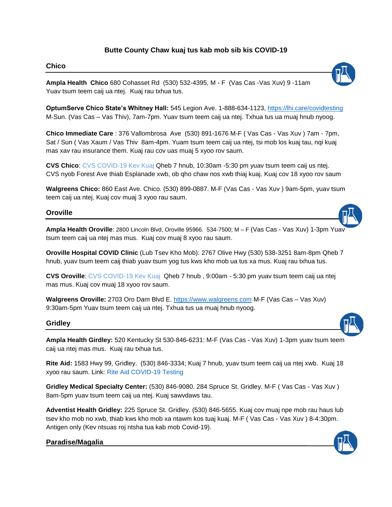# **Butte County Chaw kuaj tus kab mob sib kis COVID-19**

#### **Chico**

**Ampla Health Chico** 680 Cohasset Rd (530) 532-4395, M - F (Vas Cas -Vas Xuv) 9 -11am Yuav tsum teem caij ua ntej. Kuaj rau txhua tus.

**OptumServe Chico State's Whitney Hall:** 545 Legion Ave. 1-888-634-1123,<https://lhi.care/covidtesting> M-Sun. (Vas Cas – Vas Thiv), 7am-7pm. Yuav tsum teem caij ua ntej. Txhua tus ua muaj hnub nyoog.

**Chico Immediate Care** : 376 Vallombrosa Ave (530) 891-1676 M-F ( Vas Cas - Vas Xuv ) 7am - 7pm, Sat / Sun ( Vas Xaum / Vas Thiv 8am-4pm. Yuam tsum teem caij ua ntej, tsi mob los kuaj tau, nqi kuaj mas xav rau insurance them. Kuaj rau cov uas muaj 5 xyoo rov saum.

**CVS Chico**: CVS COVID-19 Kev Kuaj Qheb 7 hnub, 10:30am -5:30 pm yuav tsum teem caij us ntej. CVS nyob Forest Ave thiab Esplanade xwb, ob qho chaw nos xwb thiaj kuaj. Kuaj cov 18 xyoo rov saum

**Walgreens Chico:** 860 East Ave. Chico. (530) 899-0887. M-F (Vas Cas - Vas Xuv ) 9am-5pm, yuav tsum teem caij ua ntej. Kuaj cov muaj 3 xyoo rau saum.

### **Oroville**

**Ampla Health Oroville**: 2800 Lincoln Blvd, Oroville 95966. 534-7500; M – F (Vas Cas - Vas Xuv) 1-3pm Yuav tsum teem caij ua ntej mas mus. Kuaj cov muaj 8 xyoo rau saum.

**Oroville Hospital COVID Clinic** (Lub Tsev Kho Mob): 2767 Olive Hwy (530) 538-3251 8am-8pm Qheb 7 hnub, yuav tsum teem caij thiab yuav tsum yog tus kws kho mob ua tus xa mus. Kuaj rau txhua tus.

**CVS Oroville**: CVS COVID-19 Kev Kuaj Qheb 7 hnub , 9:00am - 5:30 pm yuav tsum teem caij ua ntej mas mus. Kuaj cov muaj 18 xyoo rov saum.

**Walgreens Oroville:** 2703 Oro Dam Blvd E. [https://www.walgreens.com](https://www.walgreens.com/) M-F (Vas Cas – Vas Xuv) 9:30am-5pm Yuav tsum teem caij ua ntej. Txhua tus ua muaj hnub nyoog.

#### **Gridley**

**Ampla Health Girdley:** 520 Kentucky St 530-846-6231: M-F (Vas Cas - Vas Xuv) 1-3pm yuav tsum teem caij ua ntej mas mus. Kuaj rau txhua tus.

**Rite Aid:** 1583 Hwy 99, Gridley. (530) 846-3334; Kuaj 7 hnub, yuav tsum teem caij ua ntej xwb. Kuaj 18 xyoo rau saum. Link: Rite Aid [COVID-19 Testing](https://www.riteaid.com/pharmacy/services/covid-19-testing)

**Gridley Medical Specialty Center:** (530) 846-9080. 284 Spruce St. Gridley. M-F ( Vas Cas - Vas Xuv ) 8am-5pm yuav tsum teem caij ua ntej. Kuaj sawvdaws tau.

**Adventist Health Gridley:** 225 Spruce St. Gridley. (530) 846-5655. Kuaj cov muaj npe mob rau haus lub tsev kho mob no xwb, thiab kws kho mob xa ntawm kos tuaj kuaj. M-F ( Vas Cas - Vas Xuv ) 8-4:30pm. Antigen only (Kev ntsuas roj ntsha tua kab mob Covid-19).

## **Paradise/Magalia**\_\_\_\_\_\_\_\_\_\_\_\_\_\_\_\_\_\_\_\_\_\_\_\_\_\_\_\_\_\_\_\_\_\_\_\_\_\_\_\_\_\_\_\_\_\_\_\_\_\_\_\_